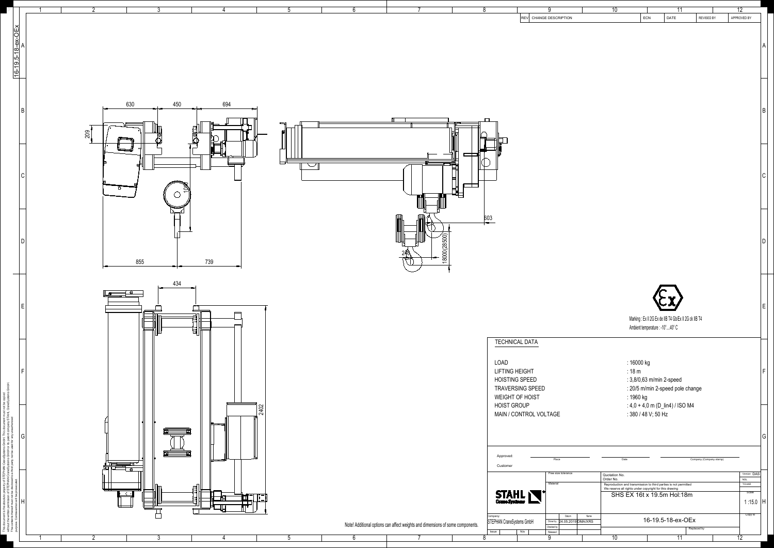| $\overline{2}$<br>-5                                                                                                                                                                                                                                                                                                                                                                                                                                                                                                                                                                                                               | $6^{\circ}$                                                                         | 9<br>-8<br>REV CHANGE DESCRIPTION                                                                                                                                             | 12<br>10<br>11<br>ECN<br>REVISED BY<br>APPROVED BY<br><b>DATE</b>                                                                                                                                                                                                                    |
|------------------------------------------------------------------------------------------------------------------------------------------------------------------------------------------------------------------------------------------------------------------------------------------------------------------------------------------------------------------------------------------------------------------------------------------------------------------------------------------------------------------------------------------------------------------------------------------------------------------------------------|-------------------------------------------------------------------------------------|-------------------------------------------------------------------------------------------------------------------------------------------------------------------------------|--------------------------------------------------------------------------------------------------------------------------------------------------------------------------------------------------------------------------------------------------------------------------------------|
|                                                                                                                                                                                                                                                                                                                                                                                                                                                                                                                                                                                                                                    |                                                                                     |                                                                                                                                                                               |                                                                                                                                                                                                                                                                                      |
| 630<br>450<br>694<br>$\Box$<br>209                                                                                                                                                                                                                                                                                                                                                                                                                                                                                                                                                                                                 |                                                                                     |                                                                                                                                                                               |                                                                                                                                                                                                                                                                                      |
| $\widetilde{\Xi}$<br>$\circ$<br>╼<br>$\frac{1}{2}$                                                                                                                                                                                                                                                                                                                                                                                                                                                                                                                                                                                 | $\mathbb{R}$<br>18000(28500)                                                        | 603                                                                                                                                                                           | l D                                                                                                                                                                                                                                                                                  |
| 739<br>855<br>434<br>$\begin{tabular}{ c c c c c } \hline \quad \quad & \quad \quad & \quad \quad \\ \hline \quad \quad & \quad \quad & \quad \quad \\ \hline \quad \quad & \quad \quad & \quad \quad \\ \hline \quad \quad & \quad \quad & \quad \quad \\ \hline \quad \quad & \quad \quad & \quad \quad \\ \hline \quad \quad & \quad \quad & \quad \quad \\ \hline \quad \quad & \quad \quad & \quad \quad \\ \hline \quad \quad & \quad \quad & \quad \quad \\ \hline \quad \quad & \quad \quad & \quad \quad \\ \hline \quad \quad & \quad \quad & \quad \quad \\ \hline \quad \quad & \quad \quad & \quad \quad \\ \hline \$ | $\overline{\phantom{a}}$                                                            |                                                                                                                                                                               | Marking : Ex II 2G Ex de IIB T4 Gb/Ex II 2G ck IIB T4                                                                                                                                                                                                                                |
| ùH <del></del><br>$\frac{1}{2402}$                                                                                                                                                                                                                                                                                                                                                                                                                                                                                                                                                                                                 |                                                                                     | <b>TECHNICAL DATA</b><br>LOAD<br><b>LIFTING HEIGHT</b><br><b>HOISTING SPEED</b><br>TRAVERSING SPEED<br><b>WEIGHT OF HOIST</b><br><b>HOIST GROUP</b><br>MAIN / CONTROL VOLTAGE | Ambient temperature : -10°40° C<br>: 16000 kg<br>:18 m<br>: 3,8/0,63 m/min 2-speed<br>: 20/5 m/min 2-speed pole change<br>: 1960 kg<br>: $4.0 + 4.0$ m (D_lin4) / ISO M4<br>: 380 / 48 V; 50 Hz                                                                                      |
| $\overline{a}$<br><u>╓╵┞╾┶═══┵</u> ┥ <sup>╲</sup><br>╙╿║╟╒═╧┽╡╶<br>$\longrightarrow$ $\leftrightarrow$                                                                                                                                                                                                                                                                                                                                                                                                                                                                                                                             |                                                                                     | Approved:<br>Place<br>Customer<br>Free size tolerance<br>Material<br><b>STAHL</b>                                                                                             | G <br>Company (Company stamp)<br>Date<br>Version DAS<br>Quotation No.<br>Order No.<br><b>NSL</b><br><b>TCHAR</b><br>Reproduction and transmission to third parties is not permitted<br>We reserve all rights under copyright for this drawing<br>Scale<br>SHS EX 16t x 19.5m Hol:18m |
| $\overline{2}$<br>3<br>-5                                                                                                                                                                                                                                                                                                                                                                                                                                                                                                                                                                                                          | Note! Additional options can affect weights and dimensions of some components.<br>6 | Datum<br>Name<br>Company:<br>STEPHAN CraneSystems GmbH<br>Drown by 24.05.2019 DMA/XRS<br>Checked by<br>Issue<br>Released<br>N/a<br>9                                          | 1:15.0<br>Copy to<br>16-19.5-18-ex-OEx<br>Replaced by<br>11<br>12<br>10                                                                                                                                                                                                              |